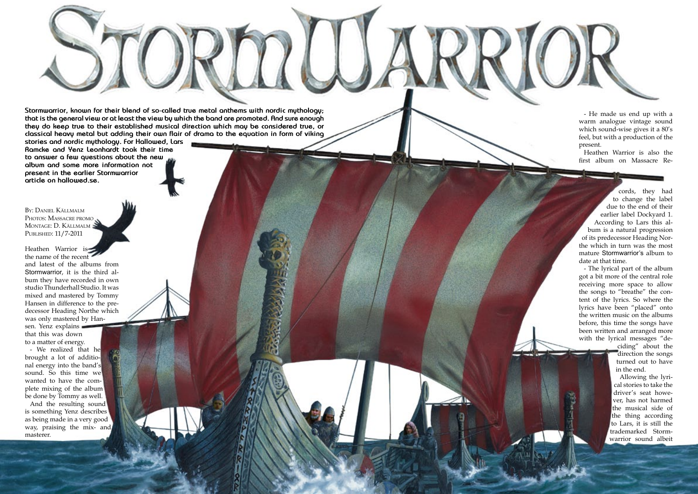Hallowed PDF-article Design by Daniel Källmalm

**Stormwarrior, known for their blend of so-called true metal anthems with nordic mythology; that is the general view or at least the view by which the band are promoted. And sure enough they do keep true to their established musical direction which may be considered true, or classical heavy metal but adding their own flair of drama to the equation in form of viking** 

Heathen Warrior is the name of the recent and latest of the albums from Stormwarrior, it is the third al bum they have recorded in own studio Thunderhall Studio. It was mixed and mastered by Tommy Hansen in difference to the pre decessor Heading Northe which was only mastered by Han sen. Yenz explains that this was down to a matter of energy.

**stories and nordic mythology. For Hallowed, Lars Ramcke and Yenz Leonhardt took their time to answer a few questions about the new album and some more information not present in the earlier Stormwarrior article on hallowed.se.**

By: Daniel Källmalm PHOTOS: MASSACRE PROMO Montage: D. Källmalm Published: 11/7-2011

- We realized that he brought a lot of additio nal energy into the band's sound. So this time we wanted to have the com plete mixing of the album be done by Tommy as well.

And the resulting sound is something Yenz describes as being made in a very good way, praising the mix- and masterer.

Hallowed Porchard

- He made us end up with a warm analogue vintage sound which sound-wise gives it a 80's feel, but with a production of the present.

Heathen Warrior is also the first album on Massacre Re -

cords, they had to change the label due to the end of their earlier label Dockyard 1. According to Lars this al bum is a natural progression of its predecessor Heading Nor the which in turn was the most mature Stormwarrior's album to date at that time.

- The lyrical part of the album got a bit more of the central role receiving more space to allow the songs to "breathe" the con tent of the lyrics. So where the lyrics have been "placed" onto the written music on the albums before, this time the songs have been written and arranged more with the lyrical messages "de -

ciding" about the direction the songs turned out to have in the end.

Allowing the lyri cal stories to take the driver's seat howe ver, has not harmed the musical side of the thing according to Lars, it is still the trademarked Storm warrior sound albeit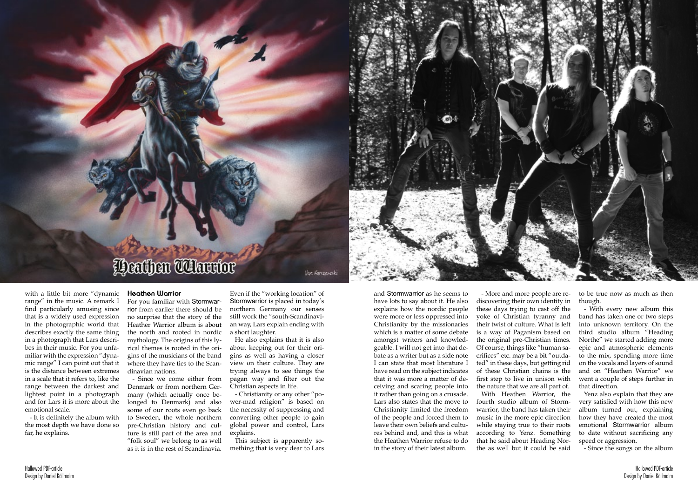with a little bit more "dynamic range" in the music. A remark I find particularly amusing since that is a widely used expression in the photographic world that describes exactly the same thing in a photograph that Lars describes in their music. For you unfamiliar with the expression "dynamic range" I can point out that it is the distance between extremes in a scale that it refers to, like the range between the darkest and lightest point in a photograph and for Lars it is more about the

emotional scale.

- It is definitely the album with the most depth we have done so

far, he explains.

# **Peathen Whatther**

## **Heathen Warrior**

For you familiar with Stormwarrior from earlier there should be no surprise that the story of the Heather Warrior album is about the north and rooted in nordic mythology. The origins of this lyrical themes is rooted in the origins of the musicians of the band where they have ties to the Scandinavian nations.

- Since we come either from Denmark or from northern Germany (which actually once belonged to Denmark) and also some of our roots even go back to Sweden, the whole northern pre-Christian history and culture is still part of the area and "folk soul" we belong to as well as it is in the rest of Scandinavia.

Even if the "working location" of Stormwarrior is placed in today's northern Germany our senses still work the "south-Scandinavian way, Lars explain ending with a short laughter.

Voe Karezenaski

He also explains that it is also about keeping out for their origins as well as having a closer view on their culture. They are trying always to see things the pagan way and filter out the Christian aspects in life.

- Christianity or any other "power-mad religion" is based on the necessity of suppressing and converting other people to gain global power and control, Lars explains.

This subject is apparently something that is very dear to Lars

and Stormwarrior as he seems to have lots to say about it. He also explains how the nordic people were more or less oppressed into Christianity by the missionaries which is a matter of some debate amongst writers and knowledgeable. I will not get into that debate as a writer but as a side note I can state that most literature I have read on the subject indicates that it was more a matter of deceiving and scaring people into it rather than going on a crusade. Lars also states that the move to Christianity limited the freedom of the people and forced them to leave their own beliefs and cultures behind and, and this is what the Heathen Warrior refuse to do

in the story of their latest album.

- More and more people are rediscovering their own identity in these days trying to cast off the yoke of Christian tyranny and their twist of culture. What is left is a way of Paganism based on the original pre-Christian times. Of course, things like "human sacrifices" etc. may be a bit "outdated" in these days, but getting rid of these Christian chains is the first step to live in unison with the nature that we are all part of. With Heathen Warrior, the fourth studio album of Stormwarrior, the band has taken their music in the more epic direction while staying true to their roots



according to Yenz. Something that he said about Heading Northe as well but it could be said

to be true now as much as then though.

- With every new album this band has taken one or two steps into unknown territory. On the third studio album "Heading Northe" we started adding more epic and atmospheric elements to the mix, spending more time on the vocals and layers of sound and on "Heathen Warrior" we went a couple of steps further in that direction.

Yenz also explain that they are very satisfied with how this new album turned out, explaining how they have created the most emotional Stormwarrior album to date without sacrificing any speed or aggression.

- Since the songs on the album